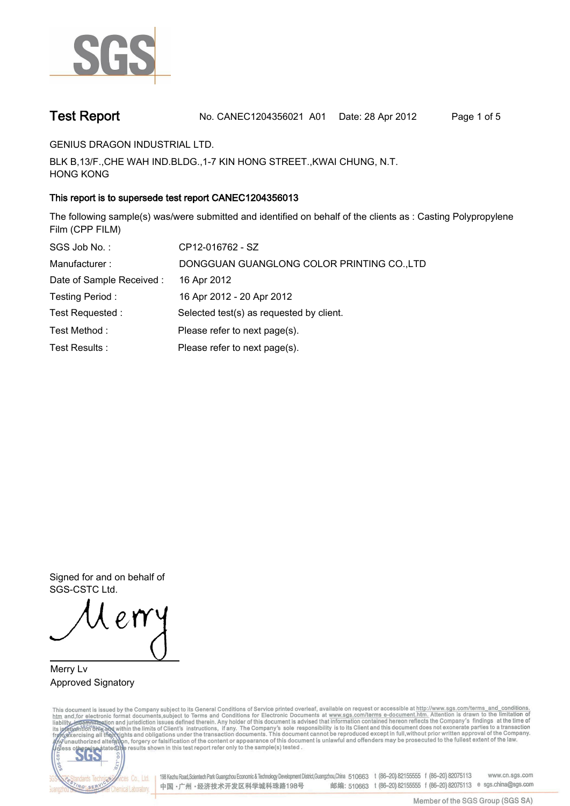

**Test Report. No. CANEC1204356021 A01 Date: 28 Apr 2012. Page 1 of 5.**

**GENIUS DRAGON INDUSTRIAL LTD..**

**BLK B,13/F.,CHE WAH IND.BLDG.,1-7 KIN HONG STREET.,KWAI CHUNG, N.T. HONG KONG.**

## **This report is to supersede test report CANEC1204356013.**

**The following sample(s) was/were submitted and identified on behalf of the clients as : Casting Polypropylene Film (CPP FILM).**

| SGS Job No.:              | CP12-016762 - SZ                           |
|---------------------------|--------------------------------------------|
| Manufacturer:             | DONGGUAN GUANGLONG COLOR PRINTING CO., LTD |
| Date of Sample Received : | 16 Apr 2012                                |
| Testing Period:           | 16 Apr 2012 - 20 Apr 2012                  |
| Test Requested :          | Selected test(s) as requested by client.   |
| Test Method:              | Please refer to next page(s).              |
| Test Results :            | Please refer to next page(s).              |

**Signed for and on behalf of SGS-CSTC Ltd..**

**Merry Lv. Approved Signatory.**

This document is issued by the Company subject to its General Conditions of Service printed overleaf, available on request or accessible at http://www.sgs.com/terms\_and\_conditions.<br>htm\_and, for electronic format documents,



198 Kezhu Road,Scientech Park Guangzhou Economic & Technology Development District,Guangzhou,China 510663 t (86-20) 82155555 f (86-20) 82075113 www.cn.sgs.com 邮编: 510663 t (86-20) 82155555 f (86-20) 82075113 e sgs.china@sgs.com 中国·广州·经济技术开发区科学城科珠路198号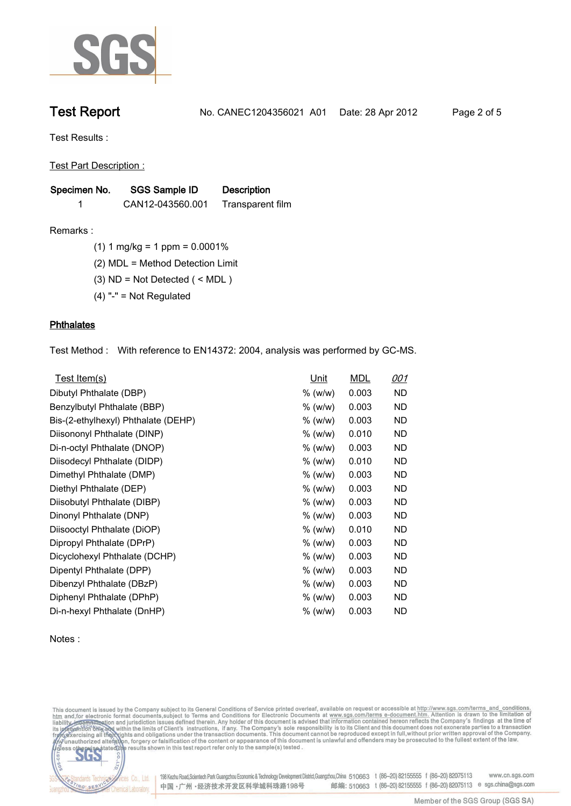

**Test Report. No. CANEC1204356021 A01 Date: 28 Apr 2012. Page 2 of 5.**

**Test Results :.**

**Test Part Description :.**

| Specimen No. | <b>SGS Sample ID</b> | <b>Description</b> |  |
|--------------|----------------------|--------------------|--|
|              | CAN12-043560.001     | Transparent film   |  |

**Remarks :.(1) 1 mg/kg = 1 ppm = 0.0001%.**

**(2) MDL = Method Detection Limit.**

**(3) ND = Not Detected ( < MDL ).**

**(4) "-" = Not Regulated.**

### **Phthalates.**

**Test Method :. With reference to EN14372: 2004, analysis was performed by GC-MS..**

| Test Item(s)                        | Unit    | <b>MDL</b> | <u>001</u> |
|-------------------------------------|---------|------------|------------|
| Dibutyl Phthalate (DBP)             | % (w/w) | 0.003      | ND         |
| Benzylbutyl Phthalate (BBP)         | % (w/w) | 0.003      | ND         |
| Bis-(2-ethylhexyl) Phthalate (DEHP) | % (w/w) | 0.003      | ND         |
| Diisononyl Phthalate (DINP)         | % (w/w) | 0.010      | ND         |
| Di-n-octyl Phthalate (DNOP)         | % (w/w) | 0.003      | <b>ND</b>  |
| Diisodecyl Phthalate (DIDP)         | % (w/w) | 0.010      | <b>ND</b>  |
| Dimethyl Phthalate (DMP)            | % (w/w) | 0.003      | <b>ND</b>  |
| Diethyl Phthalate (DEP)             | % (w/w) | 0.003      | ND.        |
| Diisobutyl Phthalate (DIBP)         | % (w/w) | 0.003      | <b>ND</b>  |
| Dinonyl Phthalate (DNP)             | % (w/w) | 0.003      | ND         |
| Diisooctyl Phthalate (DiOP)         | % (w/w) | 0.010      | ND         |
| Dipropyl Phthalate (DPrP)           | % (w/w) | 0.003      | ND         |
| Dicyclohexyl Phthalate (DCHP)       | % (w/w) | 0.003      | ND         |
| Dipentyl Phthalate (DPP)            | % (w/w) | 0.003      | ND         |
| Dibenzyl Phthalate (DBzP)           | % (w/w) | 0.003      | ND         |
| Diphenyl Phthalate (DPhP)           | % (w/w) | 0.003      | ND         |
| Di-n-hexyl Phthalate (DnHP)         | % (w/w) | 0.003      | ND         |

**Notes :.**

This document is issued by the Company subject to its General Conditions of Service printed overleaf, available on request or accessible at http://www.sgs.com/terms\_and\_conditions.<br>htm\_and, for electronic format documents,



Cos Co., Ltd. 198 Kezhu Road,Scientech Park Guangzhou Economic & Technology Development District,Guangzhou,China 510663 t (86-20) 82155555 f (86-20) 82075113 www.cn.sgs.com 邮编: 510663 t (86-20) 82155555 f (86-20) 82075113 e sgs.china@sgs.com 中国·广州·经济技术开发区科学城科珠路198号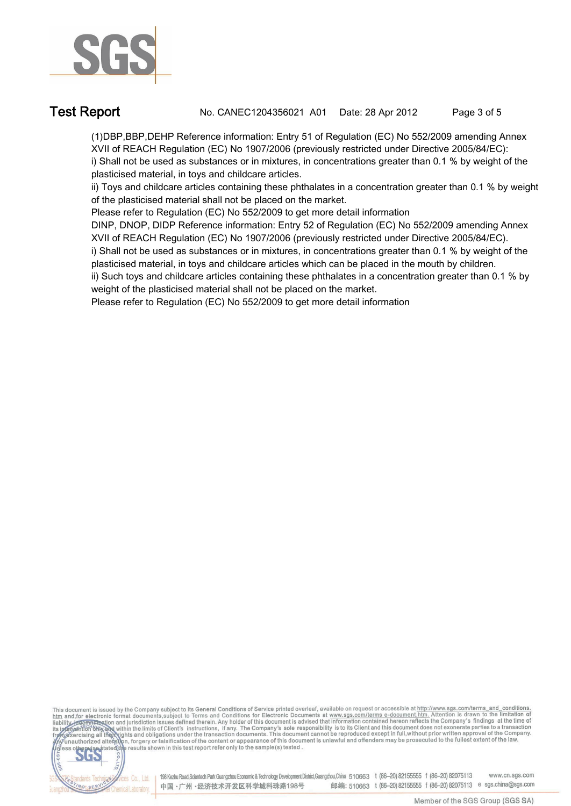

**Test Report. No. CANEC1204356021 A01 Date: 28 Apr 2012. Page 3 of 5.**

**(1)DBP,BBP,DEHP Reference information: Entry 51 of Regulation (EC) No 552/2009 amending Annex XVII of REACH Regulation (EC) No 1907/2006 (previously restricted under Directive 2005/84/EC): i) Shall not be used as substances or in mixtures, in concentrations greater than 0.1 % by weight of the plasticised material, in toys and childcare articles.** 

**ii) Toys and childcare articles containing these phthalates in a concentration greater than 0.1 % by weight of the plasticised material shall not be placed on the market.** 

**Please refer to Regulation (EC) No 552/2009 to get more detail information**

**DINP, DNOP, DIDP Reference information: Entry 52 of Regulation (EC) No 552/2009 amending Annex XVII of REACH Regulation (EC) No 1907/2006 (previously restricted under Directive 2005/84/EC).** 

**i) Shall not be used as substances or in mixtures, in concentrations greater than 0.1 % by weight of the plasticised material, in toys and childcare articles which can be placed in the mouth by children.** 

**ii) Such toys and childcare articles containing these phthalates in a concentration greater than 0.1 % by weight of the plasticised material shall not be placed on the market.** 

**Please refer to Regulation (EC) No 552/2009 to get more detail information.**

This document is issued by the Company subject to its General Conditions of Service printed overleaf, available on request or accessible at http://www.sgs.com/terms\_and\_conditions.<br>htm\_and,for electronic format documents,s



198 Kezhu Road, Scientech Park Guangzhou Economic & Technology Development District, Guangzhou, China 510663 t (86-20) 82155555 f (86-20) 82075113 www.cn.sgs.com 邮编: 510663 t (86-20) 82155555 f (86-20) 82075113 e sgs.china@sgs.com 中国·广州·经济技术开发区科学城科珠路198号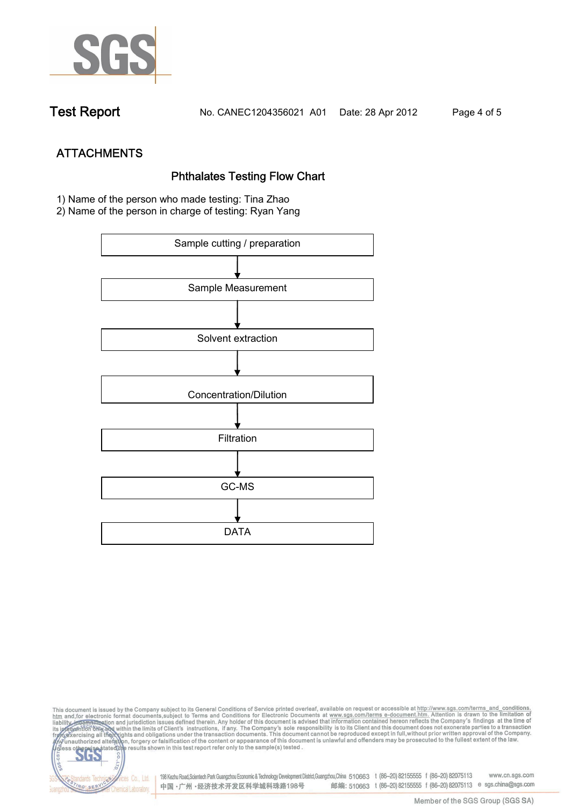

**Test Report. No. CANEC1204356021 A01 Date: 28 Apr 2012. Page 4 of 5.**

**ATTACHMENTS Phthalates Testing Flow Chart 1)** Name of the person who made testing: **Tina Zhao**

**2)** Name of the person in charge of testing: **Ryan Yang**



This document is issued by the Company subject to its General Conditions of Service printed overleaf, available on request or accessible at http://www.sgs.com/terms\_and\_conditions.<br>htm\_and,for electronic format documents,s co **202** 198 Kezhu Road,Scientech Park Guangzhou Economic & Technology Development District,Guangzhou,China 510663 t (86-20) 82155555 f (86-20) 82075113 www.cn.sgs.com dards Ter vices Co., Ltd. 邮编: 510663 t (86-20) 82155555 f (86-20) 82075113 e sgs.china@sgs.com 中国·广州·经济技术开发区科学城科珠路198号 NG SER **Chemical Laboratory**